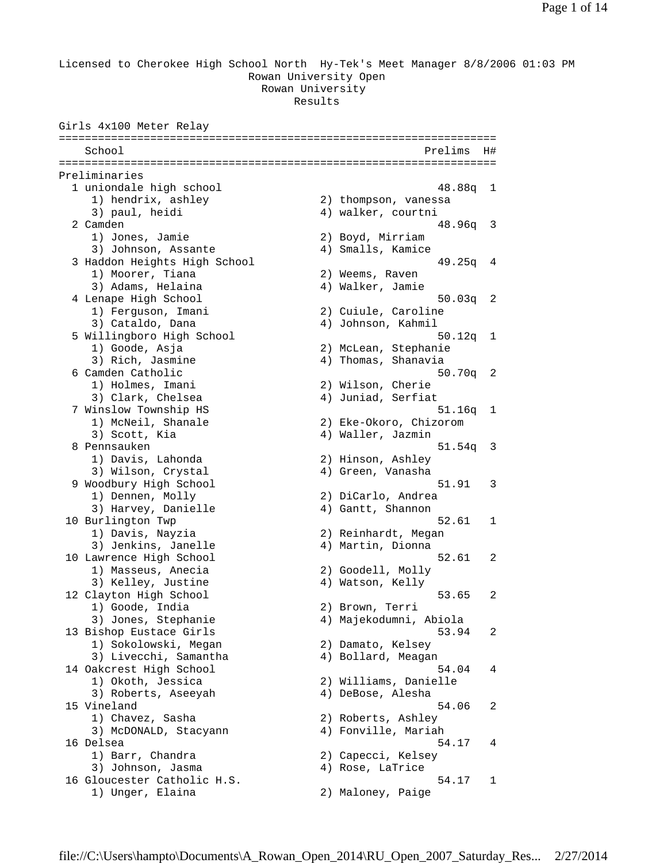Licensed to Cherokee High School North Hy-Tek's Meet Manager 8/8/2006 01:03 PM Rowan University Open Rowan University Results

Girls 4x100 Meter Relay =================================================================== School Prelims H# =================================================================== Preliminaries 1 uniondale high school 48.88q 1 1) hendrix, ashley 2) thompson, vanessa 3) paul, heidi 4) walker, courtni 2 Camden 48.96q 3 1) Jones, Jamie 2) Boyd, Mirriam 3) Johnson, Assante (4) Smalls, Kamice 3 Haddon Heights High School 49.25q 4 1) Moorer, Tiana (2) Weems, Raven 3) Adams, Helaina (4) Walker, Jamie 4 Lenape High School 50.03q 2 1) Ferguson, Imani 2) Cuiule, Caroline 3) Cataldo, Dana (4) Johnson, Kahmil 5 Willingboro High School 50.12q 1 1) Goode, Asja 2) McLean, Stephanie 3) Rich, Jasmine 4) Thomas, Shanavia 6 Camden Catholic 50.70q 2 1) Holmes, Imani 2) Wilson, Cherie 3) Clark, Chelsea 4) Juniad, Serfiat 7 Winslow Township HS 51.16q 1 1) McNeil, Shanale 2) Eke-Okoro, Chizorom 3) Scott, Kia (2008) (2018) 4) Waller, Jazmin 8 Pennsauken 51.54q 3 1) Davis, Lahonda 2) Hinson, Ashley 3) Wilson, Crystal (4) Green, Vanasha 9 Woodbury High School 51.91 3 1) Dennen, Molly 2) DiCarlo, Andrea 3) Harvey, Danielle 4) Gantt, Shannon 10 Burlington Twp 52.61 1 1) Davis, Nayzia 2) Reinhardt, Megan 3) Jenkins, Janelle (4) Martin, Dionna<br>awrence High School (52.61) 10 Lawrence High School 52.61 2 1) Masseus, Anecia (2) Goodell, Molly<br>3) Kelley, Justine (3) 4) Watson, Kelly 3) Kelley, Justine 12 Clayton High School 53.65 2 1) Goode, India 2) Brown, Terri 3) Jones, Stephanie 4) Majekodumni, Abiola 13 Bishop Eustace Girls 53.94 2 1) Sokolowski, Megan 2) Damato, Kelsey 3) Livecchi, Samantha (4) Bollard, Meagan 14 Oakcrest High School 54.04 4 1) Okoth, Jessica 2) Williams, Danielle 3) Roberts, Aseeyah (4) DeBose, Alesha 15 Vineland 54.06 2<br>1) Chavez, Sasha 2) Roberts, Ashley 1) Chavez, Sasha 2) Roberts, Ashley 3) McDONALD, Stacyann (4) Fonville, Mariah 16 Delsea 54.17 4 1) Barr, Chandra 2) Capecci, Kelsey 3) Johnson, Jasma<br>4) Rose, LaTrice<br>1 16 Gloucester Catholic H.S. 54.17 1<br>1) Unger, Elaina 2) Maloney, Paige 2) Maloney, Paige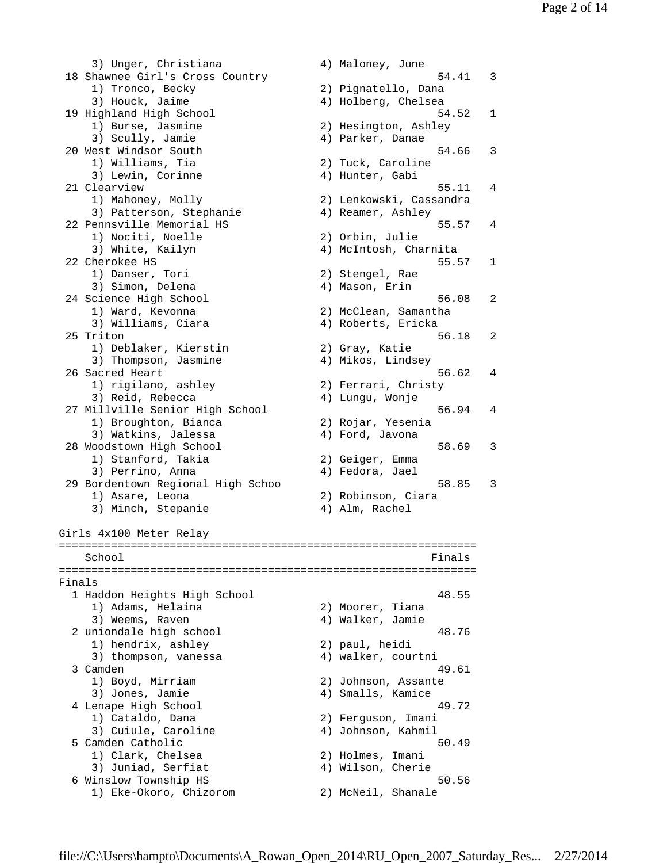3) Unger, Christiana (4) Maloney, June 18 Shawnee Girl's Cross Country 54.41 3 1) Tronco, Becky 2) Pignatello, Dana 3) Houck, Jaime 4) Holberg, Chelsea 19 Highland High School 54.52 1 1) Burse, Jasmine 2) Hesington, Ashley 3) Scully, Jamie (4) Parker, Danae 20 West Windsor South 54.66 3 1) Williams, Tia 2) Tuck, Caroline 3) Lewin, Corinne (4) Hunter, Gabi 21 Clearview 55.11 4 1) Mahoney, Molly 2) Lenkowski, Cassandra 3) Patterson, Stephanie  $4)$  Reamer, Ashley 22 Pennsville Memorial HS 55.57 4 1) Nociti, Noelle 2) Orbin, Julie 3) White, Kailyn 4) McIntosh, Charnita 22 Cherokee HS 55.57 1 1) Danser, Tori 2) Stengel, Rae 3) Simon, Delena (4) Mason, Erin 24 Science High School 56.08 2 1) Ward, Kevonna 2) McClean, Samantha 3) Williams, Ciara (4) Roberts, Ericka 25 Triton 56.18 2 1) Deblaker, Kierstin 2) Gray, Katie 3) Thompson, Jasmine (4) Mikos, Lindsey 26 Sacred Heart 56.62 4 1) rigilano, ashley 2) Ferrari, Christy 3) Reid, Rebecca 4) Lungu, Wonje 27 Millville Senior High School 56.94 4 1) Broughton, Bianca 2) Rojar, Yesenia 3) Watkins, Jalessa (4) Ford, Javona 28 Woodstown High School 58.69 58.69 3<br>1) Stanford, Takia 2) Geiger, Emma 1) Stanford, Takia 2) Geiger, Emma 3) Perrino, Anna (1988) 1996 (1989) 81 and 4) Fedora, Jael 29 Bordentown Regional High Schoo 58.85 3 1) Asare, Leona 2) Robinson, Ciara 3) Minch, Stepanie (4) Alm, Rachel Girls 4x100 Meter Relay ================================================================ School Finals ================================================================ Finals 1 Haddon Heights High School 48.55 1) Adams, Helaina (2) Moorer, Tiana 3) Weems, Raven (2008) (2008) 4) Walker, Jamie 2 uniondale high school 48.76<br>
1) hendrix ashlov 2) paul heidi 1) hendrix, ashley 2) paul, heidi<br>3) thompson vanesses 3) thompson, vanessa (4) walker, courtni 3 Camden 49.61 1) Boyd, Mirriam 2) Johnson, Assante 3) Jones, Jamie (4) Smalls, Kamice 4 Lenape High School 49.72 1) Cataldo, Dana 2) Ferguson, Imani 3) Cuiule, Caroline (4) Johnson, Kahmil 5 Camden Catholic 50.49 1) Clark, Chelsea 2) Holmes, Imani 3) Juniad, Serfiat (4) Wilson, Cherie 1) Clark, Cneisea<br>
3) Juniad, Serfiat<br>
6 Winslow Township HS<br>
1) Eke-Okoro, Chizorom<br>
2) McNeil, Shanale<br>
3) McNeil, Shanale 1) Eke-Okoro, Chizorom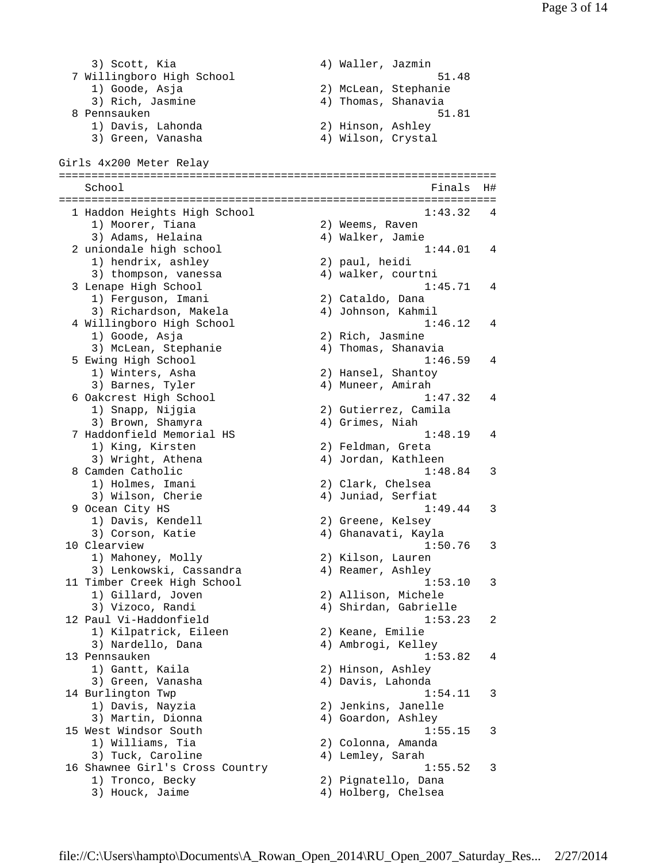3) Scott, Kia  $\begin{array}{ccc} 3 & 4 & 4 \end{array}$  Waller, Jazmin 7 Willingboro High School 51.48 1) Goode, Asja 3) Rich, Jasmine 4) Thomas, Shanavia 8 Pennsauken 51.81 1) Davis, Lahonda 2) Hinson, Ashley 3) Green, Vanasha 4) Wilson, Crystal Girls 4x200 Meter Relay =================================================================== School **Finals** H# =================================================================== 1 Haddon Heights High School 1) Moorer, Tiana (2) Weems, Raven<br>3) Adams, Helaina (2) 4) Walker, Jamie 3) Adams, Helaina 4) Walker, Jamie 2 uniondale high school 1:44.01 4 1) hendrix, ashley 2) paul, heidi 1) hendrix, ashley <br>3) thompson, vanessa <br>4) walker, courtni 3 Lenape High School 1:45.71 4 1) Ferguson, Imani 2) Cataldo, Dana 3) Richardson, Makela (4) Johnson, Kahmil 4 Willingboro High School 1:46.12 4 1) Goode, Asja 2) Rich, Jasmine 3) McLean, Stephanie 4) Thomas, Shanavia 5 Ewing High School 1:46.59 4 1) Winters, Asha 2) Hansel, Shantoy 3) Barnes, Tyler (4) Muneer, Amirah 6 Oakcrest High School 1:47.32 4 2) Gutierrez, Camila 1) Snapp, Nijgia (2) Gutierrez, Cam<br>3) Brown, Shamyra (4) Grimes, Niah 7 Haddonfield Memorial HS 1:48.19 4 1) King, Kirsten 2) Feldman, Greta 3) Wright, Athena (4) Jordan, Kathleen 8 Camden Catholic 1:48.84 3 1) Holmes, Imani 2) Clark, Chelsea 3) Wilson, Cherie (4) Juniad, Serfiat 9 Ocean City HS 1:49.44 3 1) Davis, Kendell 2) Greene, Kelsey 3) Corson, Katie 4) Ghanavati, Kayla 3) Corson, Katie (and Alexander Alexander Alexander Action 1:50.76 3)<br>10 Clearview 1:50.76 3<br>1) Mahoney, Molly (and Alexander Action 2) Kilson, Lauren 1) Mahoney, Molly 3) Lenkowski, Cassandra 4) Reamer, Ashley 11 Timber Creek High School 1:53.10 3 1) Gillard, Joven 2) Allison, Michele 3) Vizoco, Randi 4) Shirdan, Gabrielle 12 Paul Vi-Haddonfield 1:53.23 2 1) Kilpatrick, Eileen 2) Keane, Emilie 3) Nardello, Dana (4) Ambrogi, Kelley 13 Pennsauken 1:53.82 4 1) Gantt, Kaila 2) Hinson, Ashley 3) Green, Vanasha (4) Davis, Lahonda 14 Burlington Twp 1:54.11 3 1) Davis, Nayzia 2) Jenkins, Janelle 3) Martin, Dionna 4) Goardon, Ashley 15 West Windsor South 1:55.15 3 1) Williams, Tia 2) Colonna, Amanda 3) Tuck, Caroline (4) Lemley, Sarah 16 Shawnee Girl's Cross Country 1:55.52 3 1) Tronco, Becky 2) Pignatello, Dana 3) Houck, Jaime 4) Holberg, Chelsea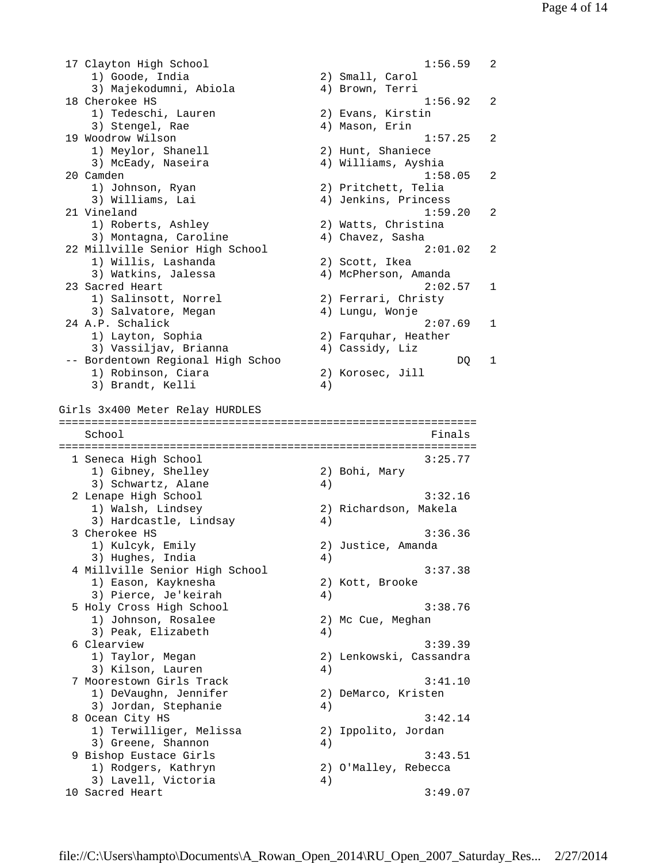17 Clayton High School 1:56.59 2 1) Goode, India 2) Small, Carol 3) Majekodumni, Abiola 4) Brown, Terri 18 Cherokee HS 1:56.92 2 eneronee no<br>1) Tedeschi, Lauren 2) Evans, Kirstin<br>1) Tedeschi, Lauren 2002 3) Stengel, Rae  $4)$  Mason, Erin 19 Woodrow Wilson 1:57.25 2 needs and the property of the 11 Meylor, Shanell<br>3) McEady, Naseira 2) Hunt, Shaniece<br>4) Williams, Ayshia 20 Camden 1:58.05 2<br>1) Johnson, Ryan 2) Pritchett, Telia<br>3) Williams Ini 1) Johnson, Ryan 2) Pritchett, Telia 3) Williams, Lai 4) Jenkins, Princess 21 Vineland 1:59.20 2 1) Roberts, Ashley 2) Watts, Christina 3) Montagna, Caroline (4) Chavez, Sasha 22 Millville Senior High School 2:01.02 2 1) Willis, Lashanda 2) Scott, Ikea 3) Watkins, Jalessa 4) McPherson, Amanda 23 Sacred Heart 2:02.57 1<br>
1) Salinsott, Norrel 2) Ferrari, Christy 1) Salinsott, Norrel 2) Ferrari, Christy 3) Salvatore, Megan (4) Lungu, Wonje 24 A.P. Schalick 2:07.69 1 1) Layton, Sophia 2) Farquhar, Heather 3) Vassiljav, Brianna 4) Cassidy, Liz -- Bordentown Regional High Schoo DQ 1 1) Robinson, Ciara 2) Korosec, Jill 3) Brandt, Kelli (4) Girls 3x400 Meter Relay HURDLES ================================================================ School **Finals** ================================================================ 1 Seneca High School 3:25.77<br>
1) Gibney, Shelley 3 3:25.77<br>
3) Schwartz, Alane 4) 1) Gibney, Shelley 2) Bohi, Mary 3) Schwartz, Alane 4) 2 Lenape High School 3:32.16 1) Walsh, Lindsey 2) Richardson, Makela 3) Hardcastle, Lindsay (4) 3 Cherokee HS 3:36.36 1) Kulcyk, Emily 2) Justice, Amanda 3) Hughes, India (4) 4 Millville Senior High School 3:37.38<br>1) Eason, Kayknesha 32) Kott, Brooke 1) Eason, Kayknesha 3) Pierce, Je'keirah 4) 5 Holy Cross High School 3:38.76 1) Johnson, Rosalee 2) Mc Cue, Meghan 3) Peak, Elizabeth 4) 6 Clearview 3:39.39 1) Taylor, Megan 2) Lenkowski, Cassandra 3) Kilson, Lauren 7 Moorestown Girls Track 3:41.10 1) DeVaughn, Jennifer 2) DeMarco, Kristen 3) Jordan, Stephanie  $4)$ 8 Ocean City HS 3:42.14 1) Terwilliger, Melissa 2) Ippolito, Jordan 1) Terwilliger, meissa<br>3) Greene, Shannon 4) 9 Bishop Eustace Girls 3:43.51 1) Rodgers, Kathryn 2) O'Malley, Rebecca 1) Rodgers, Kathryn (2) O'Ma<br>3) Lavell, Victoria (4) 10 Sacred Heart 3:49.07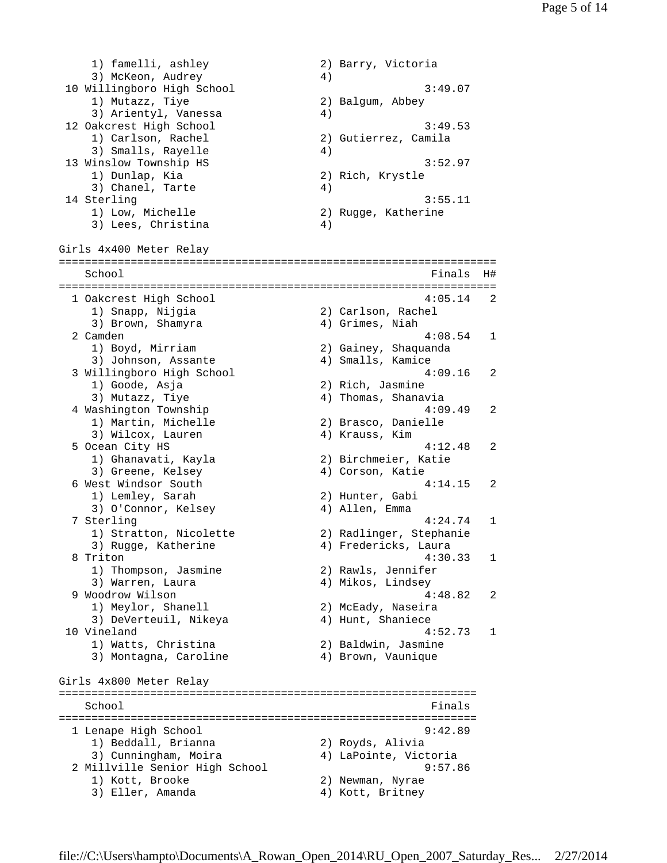1) famelli, ashley 2) Barry, Victoria 3) McKeon, Audrey - 3) McKeon, Audrey<br>
10 Willingboro High School 3:49.07<br>
1) Mutazz, Tiye 3:49.07<br>
2) Balgum, Abbey 1) Mutazz, Tiye 3) Arientyl, Vanessa 4) 12 Oakcrest High School 3:49.53 1) Carlson, Rachel 2) Gutierrez, Camila 3) Smalls, Rayelle 4) 13 Winslow Township HS 3:52.97 1) Dunlap, Kia (2) Rich, Krystle (3) Chanel, Tarte (4) 3) Chanel, Tarte 14 Sterling 3:55.11 1) Low, Michelle 2) Rugge, Katherine 1) Low, Michelle (2)<br>3) Lees, Christina (4) Girls 4x400 Meter Relay =================================================================== School **Finals** H# =================================================================== 1 Oakcrest High School 4:05.14 2 1) Snapp, Nijgia 2) Carlson, Rachel 3) Brown, Shamyra 4) Grimes, Niah 2 Camden 4:08.54 1 1) Boyd, Mirriam 2) Gainey, Shaquanda ------<br>3) Johnson, Assante (2) 4) Smalls, Kamice<br>(4) Smalls, Kamice 3 Willingboro High School 4:09.16 2 1) Goode, Asja 2) Rich, Jasmine 4) Thomas, Shanavia 4 Washington Township  $4:09.49$  2 nas...........<br>1) Martin, Michelle 2) Brasco, Danielle<br>3) Wilcox, Lauren 4) Krauss, Kim 3) Wilcox, Lauren 4) Krauss, Kim 5 Ocean City HS<br>1) Ghanavati, Kayla<br>3) Greens Kelsey 1) Ghanavati, Kayla 2) Birchmeier, Katie 3) Greene, Kelsey (4) Corson, Katie 6 West Windsor South 4:14.15 2 1) Lemley, Sarah 2) Hunter, Gabi 3) O'Connor, Kelsey (4) Allen, Emma 7 Sterling 4:24.74 1 1) Stratton, Nicolette 2) Radlinger, Stephanie 3) Rugge, Katherine 4) Fredericks, Laura 8 Triton 4:30.33 1 1) Thompson, Jasmine 2) Rawls, Jennifer 3) Warren, Laura 4) Mikos, Lindsey 9 Woodrow Wilson 4:48.82 2 1) Meylor, Shanell 2) McEady, Naseira 3) DeVerteuil, Nikeya (4) Hunt, Shaniece 10 Vineland 4:52.73 1 Ineland<br>1) Watts, Christina 2) Baldwin, Jasmine<br>2) Prown Vaunique 3) Montagna, Caroline (4) Brown, Vaunique Girls 4x800 Meter Relay ================================================================ School **Finals** ================================================================ 1 Lenape High School 9:42.89 1) Beddall, Brianna 2) Royds, Alivia 3) Cunningham, Moira 4) LaPointe, Victoria 2 Millville Senior High School 9:57.86<br>1) Kott Brocks 1) Kott, Brooke 2) Newman, Nyrae<br>3) Eller, Amanda 2008 4) Kott, Britney 4) Kott, Britney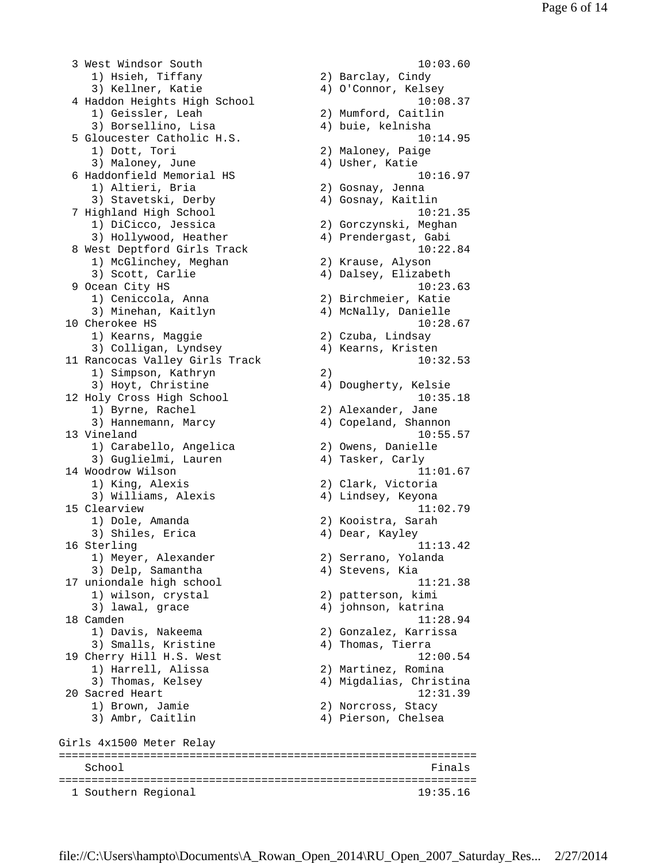3 West Windsor South 10:03.60 1) Hsieh, Tiffany 2) Barclay, Cindy 3) Kellner, Katie 4) O'Connor, Kelsey 4 Haddon Heights High School 10:08.37 1) Geissler, Leah 2) Mumford, Caitlin 3) Borsellino, Lisa (4) buie, kelnisha 5 Gloucester Catholic H.S. 10:14.95 1) Dott, Tori 2) Maloney, Paige 3) Maloney, June 4) Usher, Katie 6 Haddonfield Memorial HS 10:16.97 1) Altieri, Bria 2) Gosnay, Jenna 3) Stavetski, Derby 4) Gosnay, Kaitlin 7 Highland High School 10:21.35 1) DiCicco, Jessica 2) Gorczynski, Meghan 3) Hollywood, Heather (2) Sociolyns (1) Hollywood, Heather (4) Prendergast, Gabi 8 West Deptford Girls Track 10:22.84 1) McGlinchey, Meghan 2) Krause, Alyson 3) Scott, Carlie 4) Dalsey, Elizabeth 9 Ocean City HS  $10:23.63$  1) Ceniccola, Anna 2) Birchmeier, Katie 3) Minehan, Kaitlyn 4) McNally, Danielle 10 Cherokee HS 10:28.67 1) Kearns, Maggie 2) Czuba, Lindsay 3) Colligan, Lyndsey 4) Kearns, Kristen 11 Rancocas Valley Girls Track 10:32.53 1) Simpson, Kathryn (2)<br>3) Hovt Christine (4) Dou 3) Hoyt, Christine 4) Dougherty, Kelsie 12 Holy Cross High School 10:35.18 1) Byrne, Rachel 2) Alexander, Jane 3) Hannemann, Marcy 4) Copeland, Shannon 13 Vineland 10:55.57 1) Carabello, Angelica 2) Owens, Danielle 3) Guglielmi, Lauren (1988) 4) Tasker, Carly 14 Woodrow Wilson 11:01.67 1) King, Alexis 2) Clark, Victoria 3) Williams, Alexis (4) Lindsey, Keyona 15 Clearview 11:02.79 1) Dole, Amanda 2) Kooistra, Sarah 3) Shiles, Erica 4) Dear, Kayley 16 Sterling 11:13.42<br>1) Meyer, Alexander 2) Serrano, Yolanda 1) Meyer, Alexander 2) Serrano, Yolanda 3) Delp, Samantha 4) Stevens, Kia 17 uniondale high school 11:21.38 1) wilson, crystal 2) patterson, kimi 3) lawal, grace 4) johnson, katrina 18 Camden 11:28.94 1) Davis, Nakeema 2) Gonzalez, Karrissa 3) Smalls, Kristine (4) Thomas, Tierra 19 Cherry Hill H.S. West 12:00.54 1) Harrell, Alissa 2) Martinez, Romina 3) Thomas, Kelsey 4) Migdalias, Christina 20 Sacred Heart 12:31.39 1) Brown, Jamie 2) Norcross, Stacy 3) Ambr, Caitlin 4) Pierson, Chelsea Girls 4x1500 Meter Relay ================================================================ School Finals ================================================================ 1 Southern Regional 19:35.16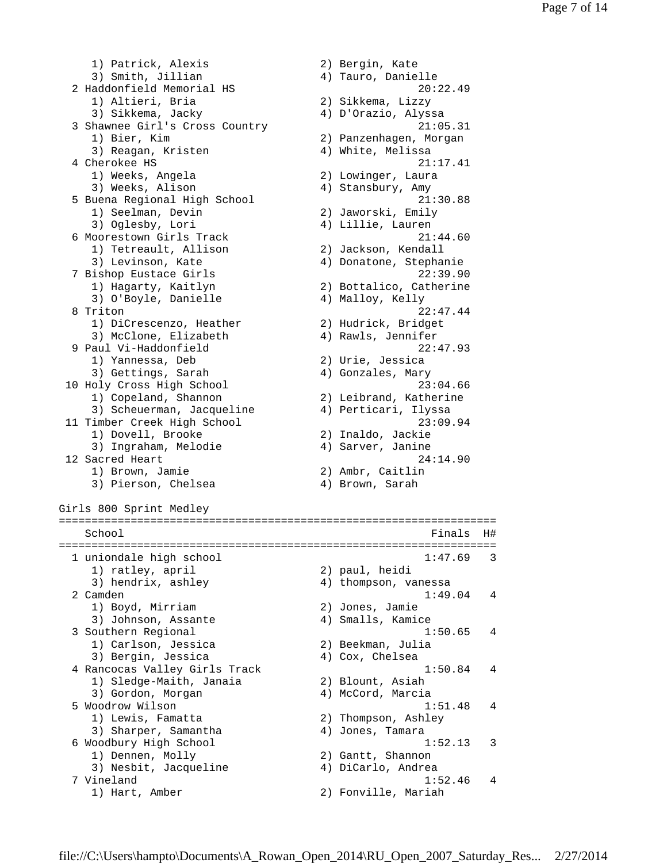1) Patrick, Alexis 2) Bergin, Kate 3) Smith, Jillian 4) Tauro, Danielle 2 Haddonfield Memorial HS 20:22.49 1) Altieri, Bria 2) Sikkema, Lizzy 3) Sikkema, Jacky 4) D'Orazio, Alyssa 3 Shawnee Girl's Cross Country 21:05.31 1) Bier, Kim 2) Panzenhagen, Morgan 3) Reagan, Kristen 1988 (4) White, Melissa 4 Cherokee HS 21:17.41 1) Weeks, Angela 2) Lowinger, Laura 3) Weeks, Alison 4) Stansbury, Amy 5 Buena Regional High School 21:30.88 1) Seelman, Devin 2) Jaworski, Emily 3) Oglesby, Lori 4) Lillie, Lauren 6 Moorestown Girls Track 21:44.60 1) Tetreault, Allison 2) Jackson, Kendall<br>2) Lovinson, Kate 2, Donatone, Stephar 3) Levinson, Kate (4) Donatone, Stephanie 7 Bishop Eustace Girls 22:39.90 1) Hagarty, Kaitlyn 2) Bottalico, Catherine 3) O'Boyle, Danielle (4) Malloy, Kelly 8 Triton 22:47.44<br>1) DiCrescenzo, Heather 2) Hudrick, Bridget<br>3) McClone, Elizabeth 2, 1986 1) DiCrescenzo, Heather 2) Hudrick, Bridget 3) McClone, Elizabeth 4) Rawls, Jennifer 9 Paul Vi-Haddonfield 22:47.93<br>
1) Yannessa, Deb 2) Urie, Jessica<br>
3) Gettings, Sarah 2) Gonzales, Mary 1) Yannessa, Deb 2) Urie, Jessica 3) Gettings, Sarah (4) Gonzales, Mary 10 Holy Cross High School 23:04.66 1) Copeland, Shannon 2) Leibrand, Katherine 3) Scheuerman, Jacqueline 4) Perticari, Ilyssa 11 Timber Creek High School 23:09.94 1) Dovell, Brooke 2) Inaldo, Jackie 3) Ingraham, Melodie 4) Sarver, Janine 12 Sacred Heart 24:14.90 1) Brown, Jamie 2) Ambr, Caitlin 3) Pierson, Chelsea (4) Brown, Sarah Girls 800 Sprint Medley =================================================================== School Finals H# =================================================================== 1 uniondale high school 1:47.69 3 1) ratley, april 2) paul, heidi 3) hendrix, ashley 4) thompson, vanessa 2 Camden 1:49.04 4<br>1) Boyd, Mirriam 2) Jones, Jamie 1) Boyd, Mirriam 2) Jones, Jamie 3) Johnson, Assante (4) Smalls, Kamice 3 Southern Regional 1:50.65 4 1) Carlson, Jessica 2) Beekman, Julia 3) Bergin, Jessica 4) Cox, Chelsea 4 Rancocas Valley Girls Track 1:50.84 4 1) Sledge-Maith, Janaia 2) Blount, Asiah 3) Gordon, Morgan (4) McCord, Marcia 5 Woodrow Wilson 1:51.48 4 1) Lewis, Famatta 2) Thompson, Ashley 3) Sharper, Samantha (4) Jones, Tamara 6 Woodbury High School 1:52.13 3 1) Dennen, Molly 2) Gantt, Shannon 3) Nesbit, Jacqueline 4) DiCarlo, Andrea 7 Vineland 1:52.46 4<br>1) Hart, Amber 2) Fonville, Mariah 2) Fonville, Mariah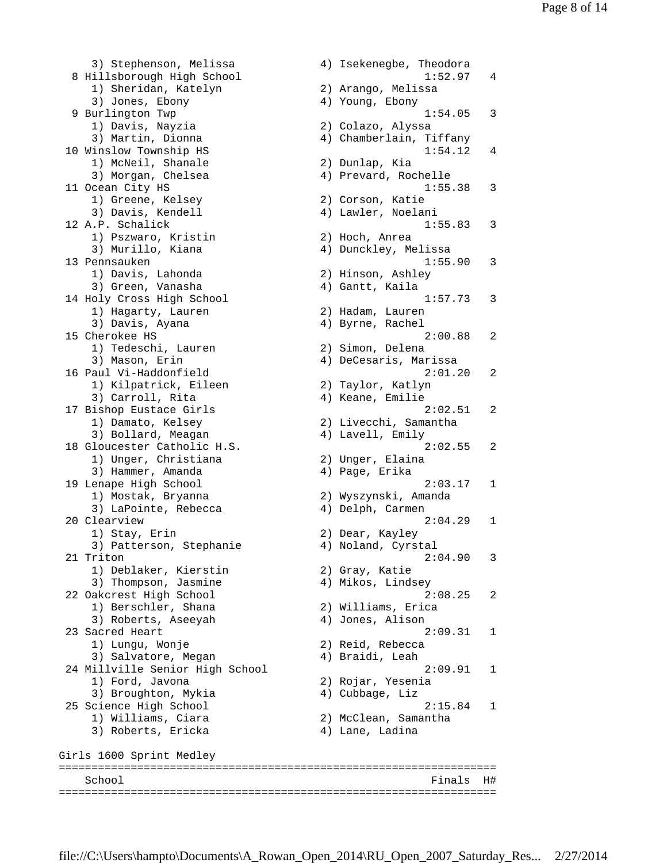3) Stephenson, Melissa (4) Isekenegbe, Theodora 8 Hillsborough High School 1:52.97 4<br>1) Sheridan, Katelyn 2) Arango, Melissa 1) Sheridan, Katelyn 3) Jones, Ebony 4) Young, Ebony 9 Burlington Twp 1:54.05 3 1) Davis, Nayzia 2) Colazo, Alyssa 3) Martin, Dionna 4) Chamberlain, Tiffany 10 Winslow Township HS 1:54.12 4 1) McNeil, Shanale 2) Dunlap, Kia 3) Morgan, Chelsea (4) Prevard, Rochelle 11 Ocean City HS 1:55.38 3 1) Greene, Kelsey 2) Corson, Katie 3) Davis, Kendell 4) Lawler, Noelani 12 A.P. Schalick 1:55.83 3 1) Pszwaro, Kristin 2) Hoch, Anrea 3) Murillo, Kiana 4) Dunckley, Melissa 13 Pennsauken 1:55.90 3 1) Davis, Lahonda 2) Hinson, Ashley 3) Green, Vanasha (4) Gantt, Kaila 14 Holy Cross High School 1:57.73 3<br>1) Hagarty, Lauren 2) Hadam, Lauren 1) Hagarty, Lauren 3) Davis, Ayana (4) Byrne, Rachel 15 Cherokee HS 2:00.88 2 1) Tedeschi, Lauren 2) Simon, Delena 3) Mason, Erin 4) DeCesaris, Marissa 16 Paul Vi-Haddonfield 2:01.20 2 1) Kilpatrick, Eileen 2) Taylor, Katlyn 3) Carroll, Rita 4) Keane, Emilie 17 Bishop Eustace Girls 2:02.51 2 1) Damato, Kelsey (2) Livecchi, Samantha<br>3) Bollard, Meagan (4) Lavell, Emily<br>Gloucester Catholic H.S. (2:02.55) 18 Gloucester Catholic H.S. 2:02.55 2 1) Unger, Christiana 2) Unger, Elaina 3) Hammer, Amanda (4) Page, Erika 19 Lenape High School 2:03.17 1 1) Mostak, Bryanna 2) Wyszynski, Amanda 3) LaPointe, Rebecca 4) Delph, Carmen 20 Clearview 2:04.29 1 1) Stay, Erin 2) Dear, Kayley 3) Patterson, Stephanie 4) Noland, Cyrstal 21 Triton 2:04.90 3 1) Deblaker, Kierstin 2) Gray, Katie 3) Thompson, Jasmine (4) Mikos, Lindsey 22 Oakcrest High School 2:08.25 2<br>1) Berschler, Shana 2) Williams, Erica<br>3) Roberts, Aseeyah 2, Jones, Alison 1) Berschler, Shana 2) Williams, Erica 3) Roberts, Aseeyah (4) Jones, Alison 23 Sacred Heart 2:09.31 1 1) Lungu, Wonje 2) Reid, Rebecca 3) Salvatore, Megan (4) Braidi, Leah 24 Millville Senior High School 2:09.91 1 1) Ford, Javona 2) Rojar, Yesenia 3) Broughton, Mykia (4) 4) Cubbage, Liz 25 Science High School 2:15.84 1 25 Science High School 2:15.<br>
1) Williams, Ciara 2) McClean, Samantha<br>
3) Roberts, Ericka 4) Lane, Ladina 3) Roberts, Ericka Girls 1600 Sprint Medley =================================================================== School Finals H# ===================================================================

2) Livecchi, Samantha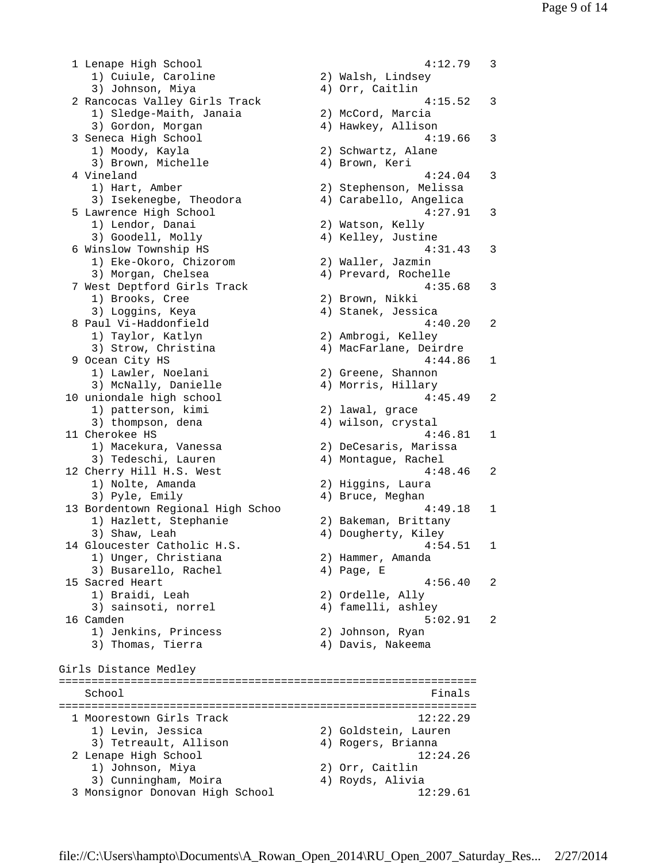1 Lenape High School 4:12.79 3 1) Cuiule, Caroline 2) Walsh, Lindsey 3) Johnson, Miya (4) Orr, Caitlin 2 Rancocas Valley Girls Track 4:15.52 3 1) Sledge-Maith, Janaia 2) McCord, Marcia 3) Gordon, Morgan 4) Hawkey, Allison<br>3 Seneca High School 4:1<br>2) Schwartz, Alane 3 Seneca High School 4:19.66 3 1) Moody, Kayla 2) Schwartz, Alane 3) Brown, Michelle 4) Brown, Keri 4 Vineland 4:24.04 3 1) Hart, Amber 2) Stephenson, Melissa 3) Isekenegbe, Theodora 4) Carabello, Angelica 5 Lawrence High School 4:27.91 3 1) Lendor, Danai 2) Watson, Kelly 3) Goodell, Molly (4) Kelley, Justine 6 Winslow Township HS 4:31.43 3 1) Eke-Okoro, Chizorom 2) Waller, Jazmin 3) Morgan, Chelsea (4) Prevard, Rochelle 3) Morgan, Chersea<br>
7 West Deptford Girls Track 4:35.68 3 1) Brooks, Cree 2) Brown, Nikki 3) Loggins, Keya 4) Stanek, Jessica 8 Paul Vi-Haddonfield (1994)<br>1) Taylor, Katlyn (2) Ambrogi, Kelley 1) Taylor, Katlyn 2) Ambrogi, Kelley 3) Strow, Christina 4) MacFarlane, Deirdre 9 Ocean City HS 4:44.86 1 1) Lawler, Noelani 2) Greene, Shannon 3) McNally, Danielle 4) Morris, Hillary 10 uniondale high school 4:45.49 2 1) patterson, kimi 2) lawal, grace 3) thompson, dena (4) wilson, crystal 11 Cherokee HS 4:46.81 1 1) Macekura, Vanessa 2) DeCesaris, Marissa 3) Tedeschi, Lauren (4) Montague, Rachel 12 Cherry Hill H.S. West 4:48.46 2 1) Nolte, Amanda 2) Higgins, Laura 3) Pyle, Emily 19 and 4) Bruce, Meghan 13 Bordentown Regional High Schoo 4:49.18 1 1) Hazlett, Stephanie 2) Bakeman, Brittany 3) Shaw, Leah 4) Dougherty, Kiley 14 Gloucester Catholic H.S. 4:54.51 1<br>1) Unger, Christiana 2) Hammer, Amanda 1) Unger, Christiana 3) Busarello, Rachel (4) Page, E 15 Sacred Heart 4:56.40 2 1) Braidi, Leah 2) Ordelle, Ally 3) sainsoti, norrel 4) famelli, ashley 16 Camden 5:02.91 2 1) Jenkins, Princess 2) Johnson, Ryan 3) Thomas, Tierra (4) Davis, Nakeema Girls Distance Medley ================================================================ School **Finals** ================================================================ 1 Moorestown Girls Track 12:22.29<br>1) Levin, Jessica 2) Goldstein, Lauren 1) Levin, Jessica 3) Tetreault, Allison (2) Schwedin, Eddy<br>
2) Rogers, Brianna<br>
2) Lenape High School (2) 2 Lenape High School 12:24.26 1) Johnson, Miya 2) Orr, Caitlin 3) Cunningham, Moira (4) Royds, Alivia 3 Monsignor Donovan High School 12:29.61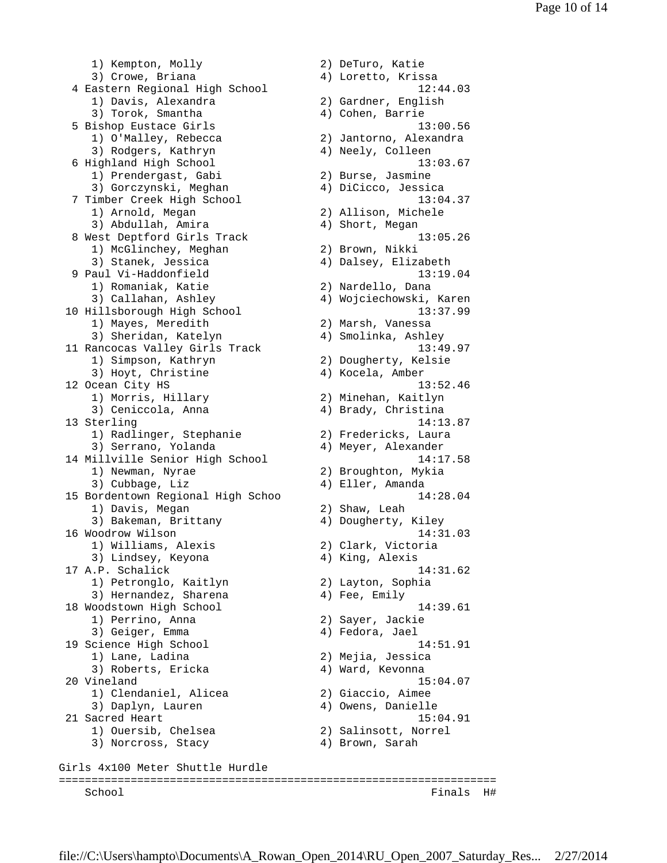1) Kempton, Molly 1982 (2) DeTuro, Katie 3) Crowe, Briana 4) Loretto, Krissa 4 Eastern Regional High School 12:44.03<br>1) Davis, Alexandra 12:44.03 1) Davis, Alexandra 3) Torok, Smantha (4) Cohen, Barrie 5 Bishop Eustace Girls 13:00.56<br>13:00.56<br>3) Rodgers, Kathryn 13:00.56<br>4) Neely, Colleen 1) O'Malley, Rebecca 2) Jantorno, Alexandra 3) Rodgers, Kathryn (4) Neely, Colleen 6 Highland High School 13:03.67 1) Prendergast, Gabi 2) Burse, Jasmine<br>3) Gorczynski, Meghan 4) DiCicco, Jessica 3) Gorczynski, Meghan 7 Timber Creek High School (13:04.37)<br>13:04.37<br>1) Arnold, Megan (2) Allison, Michele 1) Arnold, Megan 2) Allison, Michele 3) Abdullah, Amira 4) Short, Megan 8 West Deptford Girls Track 13:05.26 1) McGlinchey, Meghan 2) Brown, Nikki 3) Stanek, Jessica 4) Dalsey, Elizabeth 9 Paul Vi-Haddonfield 13:19.04<br>13:19.04 (2) Nardello, Dana 1) Romaniak, Katie 2) Nardello, Dana 3) Callahan, Ashley 4) Wojciechowski, Karen 10 Hillsborough High School 13:37.99 1) Mayes, Meredith 2) Marsh, Vanessa 3) Sheridan, Katelyn (4) Smolinka, Ashley 11 Rancocas Valley Girls Track 13:49.97 1) Simpson, Kathryn 2) Dougherty, Kelsie 3) Hoyt, Christine  $4)$  Kocela, Amber 12 Ocean City HS 13:52.46 1) Morris, Hillary 2) Minehan, Kaitlyn 3) Ceniccola, Anna (4) Brady, Christina 13 Sterling 14:13.87 1) Radlinger, Stephanie 2) Fredericks, Laura 3) Serrano, Yolanda 4) Meyer, Alexander 14 Millville Senior High School 14:17.58 1) Newman, Nyrae 2) Broughton, Mykia 3) Cubbage, Liz (4) Eller, Amanda 15 Bordentown Regional High Schoo 14:28.04 1) Davis, Megan 2) Shaw, Leah 3) Bakeman, Brittany (4) Dougherty, Kiley 16 Woodrow Wilson 14:31.03 1) Williams, Alexis 2) Clark, Victoria 3) Lindsey, Keyona (4) King, Alexis 17 A.P. Schalick 14:31.62 1) Petronglo, Kaitlyn 2) Layton, Sophia 3) Hernandez, Sharena (4) Fee, Emily 18 Woodstown High School 14:39.61 1) Perrino, Anna 2) Sayer, Jackie 3) Geiger, Emma (3) Geiger, 2003 19 Science High School 14:51.91 1) Lane, Ladina 2) Mejia, Jessica 3) Roberts, Ericka (4) Ward, Kevonna 20 Vineland 15:04.07 1) Clendaniel, Alicea 2) Giaccio, Aimee 3) Daplyn, Lauren 4) Owens, Danielle 21 Sacred Heart 15:04.91 1) Ouersib, Chelsea 2) Salinsott, Norrel 3) Norcross, Stacy (4) Brown, Sarah Girls 4x100 Meter Shuttle Hurdle =================================================================== School Finals H#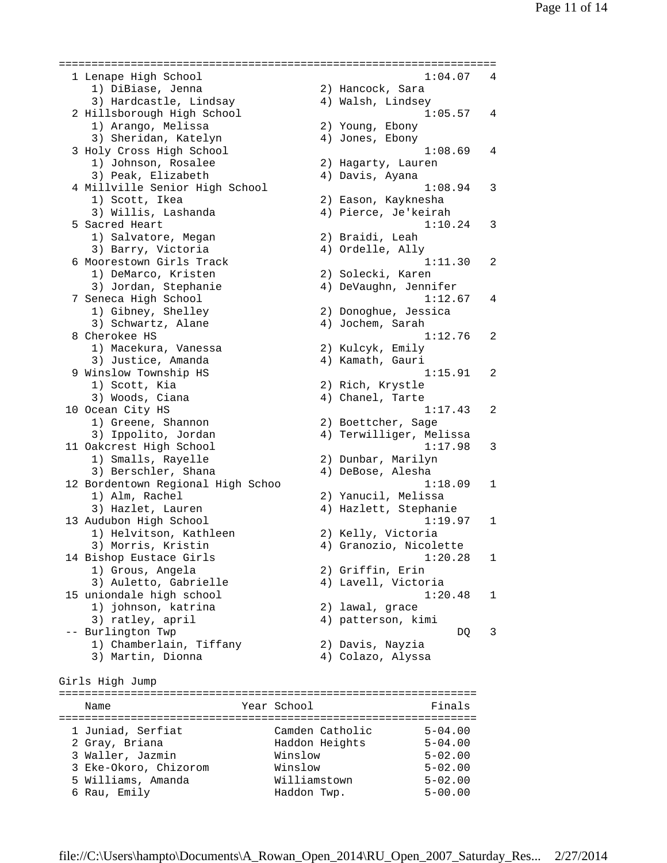1 Lenape High School 1:04.07 4 1) DiBiase, Jenna 2) Hancock, Sara 3) Hardcastle, Lindsay 4) Walsh, Lindsey 2 Hillsborough High School 1:05.57 4 2 Hillsborough High School<br>
1) Arango, Melissa 2) Young, Ebony<br>
3) Sheridan, Katelyn (2) Jones, Ebony 3) Sheridan, Katelyn 3 Holy Cross High School 1:08.69 4 1) Johnson, Rosalee 2) Hagarty, Lauren 3) Peak, Elizabeth 4) Davis, Ayana 4 Millville Senior High School 1:08.94 3 1) Scott, Ikea 2) Eason, Kayknesha 3) Willis, Lashanda 4) Pierce, Je'keirah 5 Sacred Heart 1:10.24 3 1) Salvatore, Megan (2) Braidi, Leah<br>3) Barry Victoria (2) Alexander (2) 3) Barry, Victoria (4) Ordelle, Ally 6 Moorestown Girls Track 1:11.30 2 1) DeMarco, Kristen 2) Solecki, Karen 3) Jordan, Stephanie 4) DeVaughn, Jennifer 7 Seneca High School 1:12.67 4 1) Gibney, Shelley 2) Donoghue, Jessica 3) Schwartz, Alane 4) Jochem, Sarah 8 Cherokee HS 1:12.76 2 1) Macekura, Vanessa 2) Kulcyk, Emily 3) Justice, Amanda (4) Kamath, Gauri 9 Winslow Township HS 1:15.91 2 1) Scott, Kia 2) Rich, Krystle 3) Woods, Ciana (4) Chanel, Tarte 10 Ocean City HS 1:17.43 2 1) Greene, Shannon 2) Boettcher, Sage 3) Ippolito, Jordan 4) Terwilliger, Melissa 11 Oakcrest High School 1:17.98 3 1) Smalls, Rayelle 2) Dunbar, Marilyn 3) Berschler, Shana (4) DeBose, Alesha 12 Bordentown Regional High Schoo 1:18.09 1 1) Alm, Rachel 2) Yanucil, Melissa 3) Hazlet, Lauren (4) Hazlett, Stephanie 13 Audubon High School 1:19.97 1 1) Helvitson, Kathleen 2) Kelly, Victoria 3) Morris, Kristin 4) Granozio, Nicolette 14 Bishop Eustace Girls 1:20.28 1 1) Grous, Angela 2) Griffin, Erin 3) Auletto, Gabrielle 4) Lavell, Victoria 15 uniondale high school 1:20.48 1 2) lawal, grace 1) johnson, katrina (2) lawal, grace<br>3) ratley, april (4) patterson, kimi -- Burlington Twp discussed by the contract of the DQ 3 1) Chamberlain, Tiffany 2) Davis, Nayzia 3) Martin, Dionna 4) Colazo, Alyssa Girls High Jump ================================================================ Name **The Year School** Team Team Tinals ================================================================ 1 Juniad, Serfiat Camden Catholic 5-04.00 2 Gray, Briana Haddon Heights 5-04.00 3 Waller, Jazmin Winslow 5-02.00 3 Eke-Okoro, Chizorom Winslow 5-02.00 5 Williams, Amanda Williamstown 5-02.00 6 Rau, Emily Haddon Twp. 5-00.00

===================================================================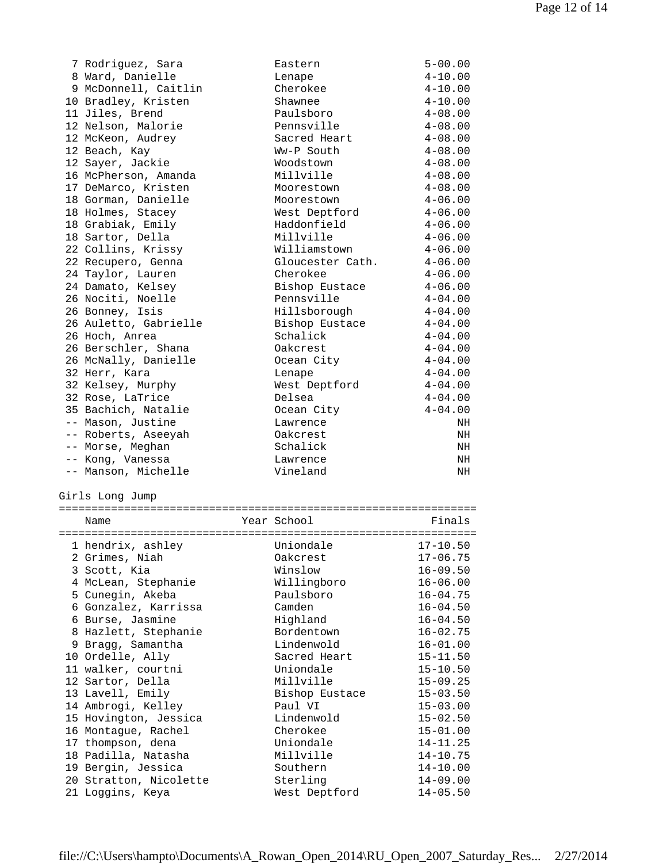| 7 Rodriguez, Sara     | Eastern          | $5 - 00.00$ |
|-----------------------|------------------|-------------|
| 8 Ward, Danielle      | Lenape           | $4 - 10.00$ |
| 9 McDonnell, Caitlin  | Cherokee         | $4 - 10.00$ |
| 10 Bradley, Kristen   | Shawnee          | $4 - 10.00$ |
| 11 Jiles, Brend       | Paulsboro        | $4 - 08.00$ |
| 12 Nelson, Malorie    | Pennsville       | $4 - 08.00$ |
| 12 McKeon, Audrey     | Sacred Heart     | $4 - 08.00$ |
| 12 Beach, Kay         | Ww-P South       | $4 - 08.00$ |
| 12 Sayer, Jackie      | Woodstown        | $4 - 08.00$ |
| 16 McPherson, Amanda  | Millville        | $4 - 08.00$ |
| 17 DeMarco, Kristen   | Moorestown       | $4 - 08.00$ |
| 18 Gorman, Danielle   | Moorestown       | $4 - 06.00$ |
| 18 Holmes, Stacey     | West Deptford    | $4 - 06.00$ |
| 18 Grabiak, Emily     | Haddonfield      | $4 - 06.00$ |
| 18 Sartor, Della      | Millville        | $4 - 06.00$ |
| 22 Collins, Krissy    | Williamstown     | $4 - 06.00$ |
| 22 Recupero, Genna    | Gloucester Cath. | $4 - 06.00$ |
| 24 Taylor, Lauren     | Cherokee         | $4 - 06.00$ |
| 24 Damato, Kelsey     | Bishop Eustace   | $4 - 06.00$ |
| 26 Nociti, Noelle     | Pennsville       | $4 - 04.00$ |
| 26 Bonney, Isis       | Hillsborough     | $4 - 04.00$ |
| 26 Auletto, Gabrielle | Bishop Eustace   | $4 - 04.00$ |
| 26 Hoch, Anrea        | Schalick         | $4 - 04.00$ |
| 26 Berschler, Shana   | Oakcrest         | $4 - 04.00$ |
| 26 McNally, Danielle  | Ocean City       | $4 - 04.00$ |
| 32 Herr, Kara         | Lenape           | $4 - 04.00$ |
| 32 Kelsey, Murphy     | West Deptford    | $4 - 04.00$ |
| 32 Rose, LaTrice      | Delsea           | $4 - 04.00$ |
| 35 Bachich, Natalie   | Ocean City       | $4 - 04.00$ |
| -- Mason, Justine     | Lawrence         | NH          |
| -- Roberts, Aseeyah   | Oakcrest         | NH          |
| -- Morse, Meghan      | Schalick         | NH          |
| -- Kong, Vanessa      | Lawrence         | NH          |
| -- Manson, Michelle   | Vineland         | NH          |

Girls Long Jump

| =================== |                                     |  |                       |              |
|---------------------|-------------------------------------|--|-----------------------|--------------|
|                     | Name                                |  | Year School           | Finals       |
|                     | ----------------------------------- |  | ===================== |              |
|                     | 1 hendrix, ashley                   |  | Uniondale             | $17 - 10.50$ |
|                     | 2 Grimes, Niah                      |  | Oakcrest              | $17 - 06.75$ |
|                     | 3 Scott, Kia                        |  | Winslow               | $16 - 09.50$ |
|                     | 4 McLean, Stephanie                 |  | Willingboro           | $16 - 06.00$ |
|                     | 5 Cunegin, Akeba                    |  | Paulsboro             | $16 - 04.75$ |
|                     | 6 Gonzalez, Karrissa                |  | Camden                | $16 - 04.50$ |
|                     | 6 Burse, Jasmine                    |  | Highland              | $16 - 04.50$ |
|                     | 8 Hazlett, Stephanie                |  | Bordentown            | $16 - 02.75$ |
|                     | 9 Bragg, Samantha                   |  | Lindenwold            | $16 - 01.00$ |
|                     | 10 Ordelle, Ally                    |  | Sacred Heart          | $15 - 11.50$ |
|                     | 11 walker, courtni                  |  | Uniondale             | $15 - 10.50$ |
|                     | 12 Sartor, Della                    |  | Millville             | $15 - 09.25$ |
|                     | 13 Lavell, Emily                    |  | Bishop Eustace        | $15 - 03.50$ |
|                     | 14 Ambrogi, Kelley                  |  | Paul VI               | $15 - 03.00$ |
|                     | 15 Hovington, Jessica               |  | Lindenwold            | $15 - 02.50$ |
|                     | 16 Montaque, Rachel                 |  | Cherokee              | $15 - 01.00$ |
|                     | 17 thompson, dena                   |  | Uniondale             | $14 - 11.25$ |
|                     | 18 Padilla, Natasha                 |  | Millville             | $14 - 10.75$ |
|                     | 19 Bergin, Jessica                  |  | Southern              | $14 - 10.00$ |
|                     | 20 Stratton, Nicolette              |  | Sterling              | $14 - 09.00$ |
|                     | 21 Loggins, Keya                    |  | West Deptford         | $14 - 05.50$ |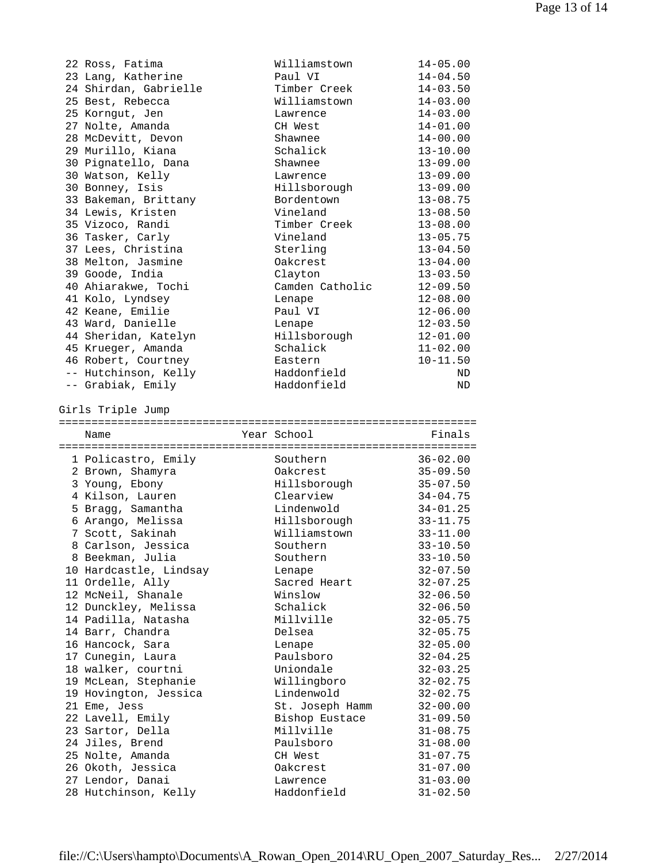| 22 Ross, Fatima                          | Williamstown            | $14 - 05.00$                 |
|------------------------------------------|-------------------------|------------------------------|
| 23 Lang, Katherine                       | Paul VI                 | $14 - 04.50$                 |
| 24 Shirdan, Gabrielle                    | Timber Creek            | $14 - 03.50$                 |
| 25 Best, Rebecca                         | Williamstown            | $14 - 03.00$                 |
| 25 Korngut, Jen                          | Lawrence                | $14 - 03.00$                 |
| 27 Nolte, Amanda                         | CH West                 | $14 - 01.00$                 |
|                                          |                         |                              |
| 28 McDevitt, Devon                       | Shawnee                 | $14 - 00.00$                 |
| 29 Murillo, Kiana                        | Schalick                | $13 - 10.00$                 |
| 30 Pignatello, Dana                      | Shawnee                 | $13 - 09.00$                 |
| 30 Watson, Kelly                         | Lawrence                | $13 - 09.00$                 |
| 30 Bonney, Isis                          | Hillsborough            | $13 - 09.00$                 |
| 33 Bakeman, Brittany                     | Bordentown              | $13 - 08.75$                 |
| 34 Lewis, Kristen                        | Vineland                | $13 - 08.50$                 |
| 35 Vizoco, Randi                         | Timber Creek            | $13 - 08.00$                 |
| 36 Tasker, Carly                         | Vineland                | $13 - 05.75$                 |
| 37 Lees, Christina                       | Sterling                | $13 - 04.50$                 |
| 38 Melton, Jasmine                       | Oakcrest                | $13 - 04.00$                 |
| 39 Goode, India                          |                         | $13 - 03.50$                 |
|                                          | Clayton                 |                              |
| 40 Ahiarakwe, Tochi                      | Camden Catholic         | $12 - 09.50$                 |
| 41 Kolo, Lyndsey                         | Lenape                  | $12 - 08.00$                 |
| 42 Keane, Emilie                         | Paul VI                 | $12 - 06.00$                 |
| 43 Ward, Danielle                        | Lenape                  | $12 - 03.50$                 |
| 44 Sheridan, Katelyn                     | Hillsborough            | $12 - 01.00$                 |
| 45 Krueger, Amanda                       | Schalick                | $11 - 02.00$                 |
| 46 Robert, Courtney                      | Eastern                 | $10 - 11.50$                 |
| -- Hutchinson, Kelly                     | Haddonfield             | ND                           |
| -- Grabiak, Emily                        | Haddonfield             | ND                           |
| Girls Triple Jump                        |                         |                              |
|                                          |                         |                              |
|                                          |                         |                              |
| Name                                     | Year School             | Finals                       |
|                                          |                         |                              |
| 1 Policastro, Emily                      | Southern                | $36 - 02.00$                 |
| 2 Brown, Shamyra                         | Oakcrest                | $35 - 09.50$                 |
| 3 Young, Ebony                           | Hillsborough            | $35 - 07.50$                 |
| 4 Kilson, Lauren                         | Clearview               | $34 - 04.75$                 |
| 5 Bragg, Samantha                        | Lindenwold              | $34 - 01.25$                 |
| 6 Arango, Melissa                        | Hillsborough            | $33 - 11.75$                 |
|                                          | Williamstown            | $33 - 11.00$                 |
| 7 Scott, Sakinah                         |                         |                              |
| 8 Carlson, Jessica                       | Southern                | $33 - 10.50$                 |
| 8 Beekman, Julia                         | Southern                | $33 - 10.50$                 |
| 10 Hardcastle, Lindsay                   | Lenape                  | $32 - 07.50$                 |
| 11 Ordelle, Ally                         | Sacred Heart            | $32 - 07.25$                 |
| 12 McNeil, Shanale                       | Winslow                 | $32 - 06.50$                 |
| 12 Dunckley, Melissa                     | Schalick                | $32 - 06.50$                 |
| 14 Padilla, Natasha                      | Millville               | $32 - 05.75$                 |
| 14 Barr, Chandra                         | Delsea                  | $32 - 05.75$                 |
| 16 Hancock, Sara                         | Lenape                  | $32 - 05.00$                 |
| 17 Cunegin, Laura                        | Paulsboro               | $32 - 04.25$                 |
| 18 walker, courtni                       | Uniondale               | $32 - 03.25$                 |
| 19 McLean, Stephanie                     | Willingboro             | $32 - 02.75$                 |
| 19 Hovington, Jessica                    | Lindenwold              | $32 - 02.75$                 |
|                                          |                         |                              |
| 21 Eme, Jess                             | St. Joseph Hamm         | $32 - 00.00$                 |
| 22 Lavell, Emily                         | Bishop Eustace          | $31 - 09.50$                 |
| 23 Sartor, Della                         | Millville               | $31 - 08.75$                 |
| 24 Jiles, Brend                          | Paulsboro               | $31 - 08.00$                 |
| 25 Nolte, Amanda                         | CH West                 | $31 - 07.75$                 |
| 26 Okoth, Jessica                        | Oakcrest                | $31 - 07.00$                 |
| 27 Lendor, Danai<br>28 Hutchinson, Kelly | Lawrence<br>Haddonfield | $31 - 03.00$<br>$31 - 02.50$ |